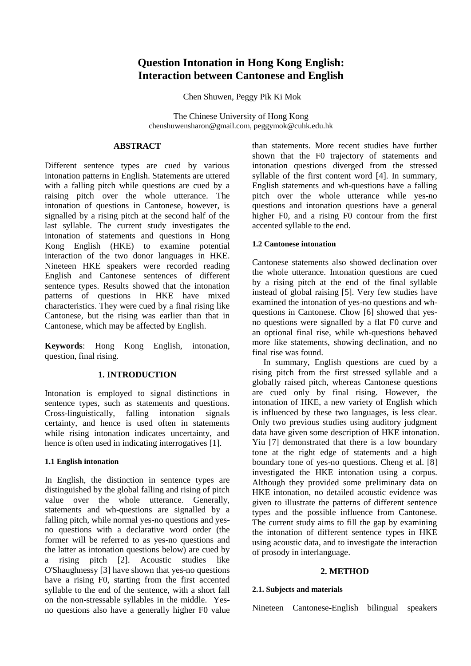# **Question Intonation in Hong Kong English: Interaction between Cantonese and English**

Chen Shuwen, Peggy Pik Ki Mok

The Chinese University of Hong Kong chenshuwensharon@gmail.com, peggymok@cuhk.edu.hk

# **ABSTRACT**

Different sentence types are cued by various intonation patterns in English. Statements are uttered with a falling pitch while questions are cued by a raising pitch over the whole utterance. The intonation of questions in Cantonese, however, is signalled by a rising pitch at the second half of the last syllable. The current study investigates the intonation of statements and questions in Hong Kong English (HKE) to examine potential interaction of the two donor languages in HKE. Nineteen HKE speakers were recorded reading English and Cantonese sentences of different sentence types. Results showed that the intonation patterns of questions in HKE have mixed characteristics. They were cued by a final rising like Cantonese, but the rising was earlier than that in Cantonese, which may be affected by English.

**Keywords**: Hong Kong English, intonation, question, final rising.

# **1. INTRODUCTION**

Intonation is employed to signal distinctions in sentence types, such as statements and questions. Cross-linguistically, falling intonation signals certainty, and hence is used often in statements while rising intonation indicates uncertainty, and hence is often used in indicating interrogatives [1].

### **1.1 English intonation**

In English, the distinction in sentence types are distinguished by the global falling and rising of pitch value over the whole utterance. Generally, statements and wh-questions are signalled by a falling pitch, while normal yes-no questions and yesno questions with a declarative word order (the former will be referred to as yes-no questions and the latter as intonation questions below) are cued by a rising pitch [2]. Acoustic studies like O'Shaughnessy [3] have shown that yes-no questions have a rising F0, starting from the first accented syllable to the end of the sentence, with a short fall on the non-stressable syllables in the middle. Yesno questions also have a generally higher F0 value

than statements. More recent studies have further shown that the F0 trajectory of statements and intonation questions diverged from the stressed syllable of the first content word [4]. In summary, English statements and wh-questions have a falling pitch over the whole utterance while yes-no questions and intonation questions have a general higher F0, and a rising F0 contour from the first accented syllable to the end.

# **1.2 Cantonese intonation**

Cantonese statements also showed declination over the whole utterance. Intonation questions are cued by a rising pitch at the end of the final syllable instead of global raising [5]. Very few studies have examined the intonation of yes-no questions and whquestions in Cantonese. Chow [6] showed that yesno questions were signalled by a flat F0 curve and an optional final rise, while wh-questions behaved more like statements, showing declination, and no final rise was found.

In summary, English questions are cued by a rising pitch from the first stressed syllable and a globally raised pitch, whereas Cantonese questions are cued only by final rising. However, the intonation of HKE, a new variety of English which is influenced by these two languages, is less clear. Only two previous studies using auditory judgment data have given some description of HKE intonation. Yiu [7] demonstrated that there is a low boundary tone at the right edge of statements and a high boundary tone of yes-no questions. Cheng et al. [8] investigated the HKE intonation using a corpus. Although they provided some preliminary data on HKE intonation, no detailed acoustic evidence was given to illustrate the patterns of different sentence types and the possible influence from Cantonese. The current study aims to fill the gap by examining the intonation of different sentence types in HKE using acoustic data, and to investigate the interaction of prosody in interlanguage.

### **2. METHOD**

### **2.1. Subjects and materials**

Nineteen Cantonese-English bilingual speakers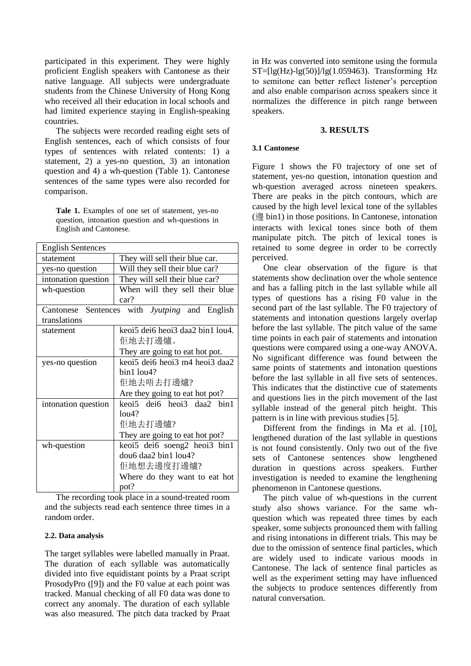participated in this experiment. They were highly proficient English speakers with Cantonese as their native language. All subjects were undergraduate students from the Chinese University of Hong Kong who received all their education in local schools and had limited experience staying in English-speaking countries.

The subjects were recorded reading eight sets of English sentences, each of which consists of four types of sentences with related contents: 1) a statement, 2) a yes-no question, 3) an intonation question and 4) a wh-question (Table 1). Cantonese sentences of the same types were also recorded for comparison.

**Tale 1.** Examples of one set of statement, yes-no question, intonation question and wh-questions in English and Cantonese.

| <b>English Sentences</b> |                                                      |
|--------------------------|------------------------------------------------------|
| statement                | They will sell their blue car.                       |
| yes-no question          | Will they sell their blue car?                       |
| intonation question      | They will sell their blue car?                       |
| wh-question              | When will they sell their blue                       |
|                          | car?                                                 |
|                          | Cantonese Sentences with <i>Jyutping</i> and English |
| translations             |                                                      |
| statement                | keoi5 dei6 heoi3 daa2 bin1 lou4.                     |
|                          | 佢地去打邊爐。                                              |
|                          | They are going to eat hot pot.                       |
| yes-no question          | keoi5 dei6 heoi3 m4 heoi3 daa2                       |
|                          | $bin1$ lou $4$ ?                                     |
|                          | 佢地去唔去打邊爐?                                            |
|                          | Are they going to eat hot pot?                       |
| intonation question      | keoi5 dei6 heoi3 daa2 bin1                           |
|                          | $1014$ ?                                             |
|                          | 佢地去打邊爐?                                              |
|                          | They are going to eat hot pot?                       |
| wh-question              | keoi5 dei6 soeng2 heoi3 bin1                         |
|                          | dou6 daa2 bin1 lou4?                                 |
|                          | 佢地想去邊度打邊爐?                                           |
|                          | Where do they want to eat hot                        |
|                          | pot?                                                 |

The recording took place in a sound-treated room and the subjects read each sentence three times in a random order.

### **2.2. Data analysis**

The target syllables were labelled manually in Praat. The duration of each syllable was automatically divided into five equidistant points by a Praat script ProsodyPro ([9]) and the F0 value at each point was tracked. Manual checking of all F0 data was done to correct any anomaly. The duration of each syllable was also measured. The pitch data tracked by Praat in Hz was converted into semitone using the formula  $ST=[lg(Hz)-lg(50)]/lg(1.059463)$ . Transforming Hz to semitone can better reflect listener's perception and also enable comparison across speakers since it normalizes the difference in pitch range between speakers.

#### **3. RESULTS**

#### **3.1 Cantonese**

Figure 1 shows the F0 trajectory of one set of statement, yes-no question, intonation question and wh-question averaged across nineteen speakers. There are peaks in the pitch contours, which are caused by the high level lexical tone of the syllables (邊 bin1) in those positions. In Cantonese, intonation interacts with lexical tones since both of them manipulate pitch. The pitch of lexical tones is retained to some degree in order to be correctly perceived.

One clear observation of the figure is that statements show declination over the whole sentence and has a falling pitch in the last syllable while all types of questions has a rising F0 value in the second part of the last syllable. The F0 trajectory of statements and intonation questions largely overlap before the last syllable. The pitch value of the same time points in each pair of statements and intonation questions were compared using a one-way ANOVA. No significant difference was found between the same points of statements and intonation questions before the last syllable in all five sets of sentences. This indicates that the distinctive cue of statements and questions lies in the pitch movement of the last syllable instead of the general pitch height. This pattern is in line with previous studies [5].

Different from the findings in Ma et al. [10], lengthened duration of the last syllable in questions is not found consistently. Only two out of the five sets of Cantonese sentences show lengthened duration in questions across speakers. Further investigation is needed to examine the lengthening phenomenon in Cantonese questions.

The pitch value of wh-questions in the current study also shows variance. For the same whquestion which was repeated three times by each speaker, some subjects pronounced them with falling and rising intonations in different trials. This may be due to the omission of sentence final particles, which are widely used to indicate various moods in Cantonese. The lack of sentence final particles as well as the experiment setting may have influenced the subjects to produce sentences differently from natural conversation.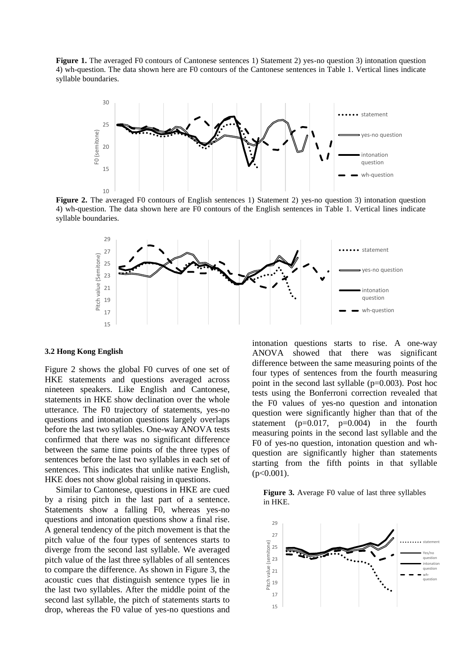**Figure 1.** The averaged F0 contours of Cantonese sentences 1) Statement 2) yes-no question 3) intonation question 4) wh-question. The data shown here are F0 contours of the Cantonese sentences in Table 1. Vertical lines indicate syllable boundaries.



**Figure 2.** The averaged F0 contours of English sentences 1) Statement 2) yes-no question 3) intonation question 4) wh-question. The data shown here are F0 contours of the English sentences in Table 1. Vertical lines indicate syllable boundaries.



#### **3.2 Hong Kong English**

Figure 2 shows the global F0 curves of one set of HKE statements and questions averaged across nineteen speakers. Like English and Cantonese, statements in HKE show declination over the whole utterance. The F0 trajectory of statements, yes-no questions and intonation questions largely overlaps before the last two syllables. One-way ANOVA tests confirmed that there was no significant difference between the same time points of the three types of sentences before the last two syllables in each set of sentences. This indicates that unlike native English, HKE does not show global raising in questions.

Similar to Cantonese, questions in HKE are cued by a rising pitch in the last part of a sentence. Statements show a falling F0, whereas yes-no questions and intonation questions show a final rise. A general tendency of the pitch movement is that the pitch value of the four types of sentences starts to diverge from the second last syllable. We averaged pitch value of the last three syllables of all sentences to compare the difference. As shown in Figure 3, the acoustic cues that distinguish sentence types lie in the last two syllables. After the middle point of the second last syllable, the pitch of statements starts to drop, whereas the F0 value of yes-no questions and

intonation questions starts to rise. A one-way ANOVA showed that there was significant difference between the same measuring points of the four types of sentences from the fourth measuring point in the second last syllable (p=0.003). Post hoc tests using the Bonferroni correction revealed that the F0 values of yes-no question and intonation question were significantly higher than that of the statement ( $p=0.017$ ,  $p=0.004$ ) in the fourth measuring points in the second last syllable and the F0 of yes-no question, intonation question and whquestion are significantly higher than statements starting from the fifth points in that syllable  $(p<0.001)$ .

### **Figure 3.** Average F0 value of last three syllables in HKE.

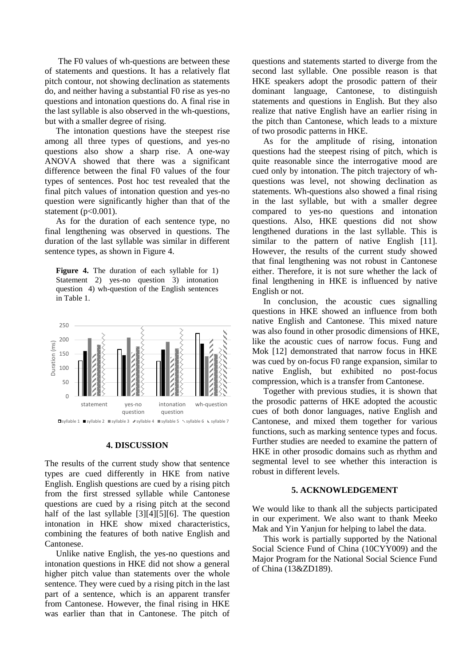The F0 values of wh-questions are between these of statements and questions. It has a relatively flat pitch contour, not showing declination as statements do, and neither having a substantial F0 rise as yes-no questions and intonation questions do. A final rise in the last syllable is also observed in the wh-questions, but with a smaller degree of rising.

The intonation questions have the steepest rise among all three types of questions, and yes-no questions also show a sharp rise. A one-way ANOVA showed that there was a significant difference between the final F0 values of the four types of sentences. Post hoc test revealed that the final pitch values of intonation question and yes-no question were significantly higher than that of the statement ( $p<0.001$ ).

As for the duration of each sentence type, no final lengthening was observed in questions. The duration of the last syllable was similar in different sentence types, as shown in Figure 4.

**Figure 4.** The duration of each syllable for 1) Statement 2) yes-no question 3) intonation question 4) wh-question of the English sentences in Table 1.



#### **4. DISCUSSION**

The results of the current study show that sentence types are cued differently in HKE from native English. English questions are cued by a rising pitch from the first stressed syllable while Cantonese questions are cued by a rising pitch at the second half of the last syllable [3][4][5][6]. The question intonation in HKE show mixed characteristics, combining the features of both native English and Cantonese.

Unlike native English, the yes-no questions and intonation questions in HKE did not show a general higher pitch value than statements over the whole sentence. They were cued by a rising pitch in the last part of a sentence, which is an apparent transfer from Cantonese. However, the final rising in HKE was earlier than that in Cantonese. The pitch of

questions and statements started to diverge from the second last syllable. One possible reason is that HKE speakers adopt the prosodic pattern of their dominant language, Cantonese, to distinguish statements and questions in English. But they also realize that native English have an earlier rising in the pitch than Cantonese, which leads to a mixture of two prosodic patterns in HKE.

As for the amplitude of rising, intonation questions had the steepest rising of pitch, which is quite reasonable since the interrogative mood are cued only by intonation. The pitch trajectory of whquestions was level, not showing declination as statements. Wh-questions also showed a final rising in the last syllable, but with a smaller degree compared to yes-no questions and intonation questions. Also, HKE questions did not show lengthened durations in the last syllable. This is similar to the pattern of native English [11]. However, the results of the current study showed that final lengthening was not robust in Cantonese either. Therefore, it is not sure whether the lack of final lengthening in HKE is influenced by native English or not.

In conclusion, the acoustic cues signalling questions in HKE showed an influence from both native English and Cantonese. This mixed nature was also found in other prosodic dimensions of HKE, like the acoustic cues of narrow focus. Fung and Mok [12] demonstrated that narrow focus in HKE was cued by on-focus F0 range expansion, similar to native English, but exhibited no post-focus compression, which is a transfer from Cantonese.

Together with previous studies, it is shown that the prosodic patterns of HKE adopted the acoustic cues of both donor languages, native English and Cantonese, and mixed them together for various functions, such as marking sentence types and focus. Further studies are needed to examine the pattern of HKE in other prosodic domains such as rhythm and segmental level to see whether this interaction is robust in different levels.

# **5. ACKNOWLEDGEMENT**

We would like to thank all the subjects participated in our experiment. We also want to thank Meeko Mak and Yin Yanjun for helping to label the data.

This work is partially supported by the National Social Science Fund of China (10CYY009) and the Major Program for the National Social Science Fund of China (13&ZD189).